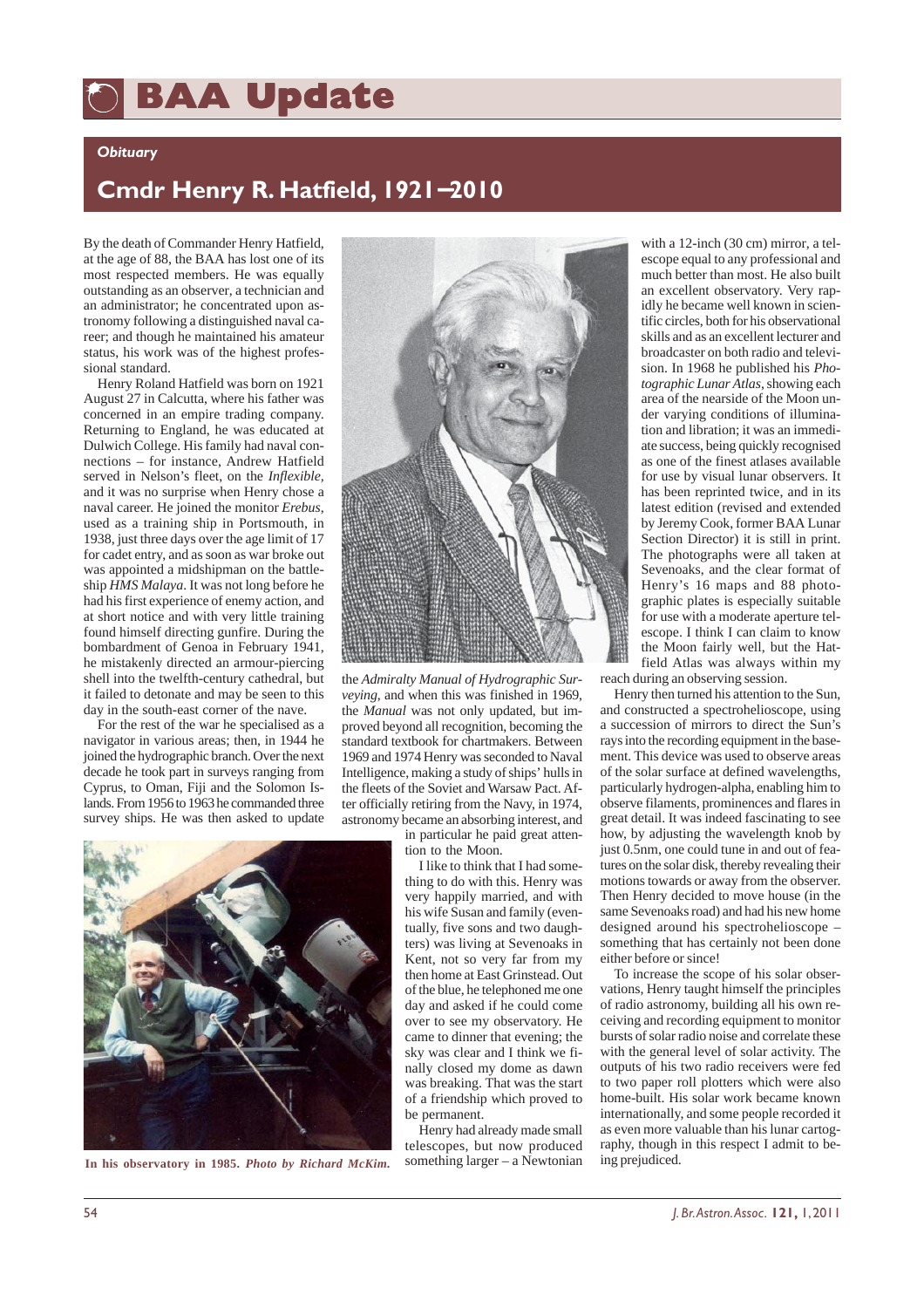## **BAA Update BAA Update**

## *Obituary*

## **Cmdr Henry R. Hatfield, 1921**−**2010**

By the death of Commander Henry Hatfield, at the age of 88, the BAA has lost one of its most respected members. He was equally outstanding as an observer, a technician and an administrator; he concentrated upon astronomy following a distinguished naval career; and though he maintained his amateur status, his work was of the highest professional standard.

Henry Roland Hatfield was born on 1921 August 27 in Calcutta, where his father was concerned in an empire trading company. Returning to England, he was educated at Dulwich College. His family had naval connections – for instance, Andrew Hatfield served in Nelson's fleet, on the *Inflexible,* and it was no surprise when Henry chose a naval career. He joined the monitor *Erebus*, used as a training ship in Portsmouth, in 1938, just three days over the age limit of 17 for cadet entry, and as soon as war broke out was appointed a midshipman on the battleship *HMS Malaya*. It was not long before he had his first experience of enemy action, and at short notice and with very little training found himself directing gunfire. During the bombardment of Genoa in February 1941, he mistakenly directed an armour-piercing shell into the twelfth-century cathedral, but it failed to detonate and may be seen to this day in the south-east corner of the nave.

For the rest of the war he specialised as a navigator in various areas; then, in 1944 he joined the hydrographic branch. Over the next decade he took part in surveys ranging from Cyprus, to Oman, Fiji and the Solomon Islands. From 1956 to 1963 he commanded three survey ships. He was then asked to update



the *Admiralty Manual of Hydrographic Surveying*, and when this was finished in 1969, the *Manual* was not only updated, but improved beyond all recognition, becoming the standard textbook for chartmakers. Between 1969 and 1974 Henry was seconded to Naval Intelligence, making a study of ships' hulls in the fleets of the Soviet and Warsaw Pact. After officially retiring from the Navy, in 1974, astronomy became an absorbing interest, and

> in particular he paid great attention to the Moon.

I like to think that I had something to do with this. Henry was very happily married, and with his wife Susan and family (eventually, five sons and two daughters) was living at Sevenoaks in Kent, not so very far from my then home at East Grinstead. Out of the blue, he telephoned me one day and asked if he could come over to see my observatory. He came to dinner that evening; the sky was clear and I think we finally closed my dome as dawn was breaking. That was the start of a friendship which proved to be permanent.

Henry had already made small telescopes, but now produced something larger – a Newtonian

with a 12-inch (30 cm) mirror, a telescope equal to any professional and much better than most. He also built an excellent observatory. Very rapidly he became well known in scientific circles, both for his observational skills and as an excellent lecturer and broadcaster on both radio and television. In 1968 he published his *Photographic Lunar Atlas*, showing each area of the nearside of the Moon under varying conditions of illumination and libration; it was an immediate success, being quickly recognised as one of the finest atlases available for use by visual lunar observers. It has been reprinted twice, and in its latest edition (revised and extended by Jeremy Cook, former BAA Lunar Section Director) it is still in print. The photographs were all taken at Sevenoaks, and the clear format of Henry's 16 maps and 88 photographic plates is especially suitable for use with a moderate aperture telescope. I think I can claim to know the Moon fairly well, but the Hatfield Atlas was always within my reach during an observing session.

Henry then turned his attention to the Sun, and constructed a spectrohelioscope, using a succession of mirrors to direct the Sun's rays into the recording equipment in the basement. This device was used to observe areas of the solar surface at defined wavelengths, particularly hydrogen-alpha, enabling him to observe filaments, prominences and flares in great detail. It was indeed fascinating to see how, by adjusting the wavelength knob by just 0.5nm, one could tune in and out of features on the solar disk, thereby revealing their motions towards or away from the observer. Then Henry decided to move house (in the same Sevenoaks road) and had his new home designed around his spectrohelioscope – something that has certainly not been done either before or since!

To increase the scope of his solar observations, Henry taught himself the principles of radio astronomy, building all his own receiving and recording equipment to monitor bursts of solar radio noise and correlate these with the general level of solar activity. The outputs of his two radio receivers were fed to two paper roll plotters which were also home-built. His solar work became known internationally, and some people recorded it as even more valuable than his lunar cartography, though in this respect I admit to be-<br>ing prejudiced.



In his observatory in 1985. *Photo by Richard McKim.*